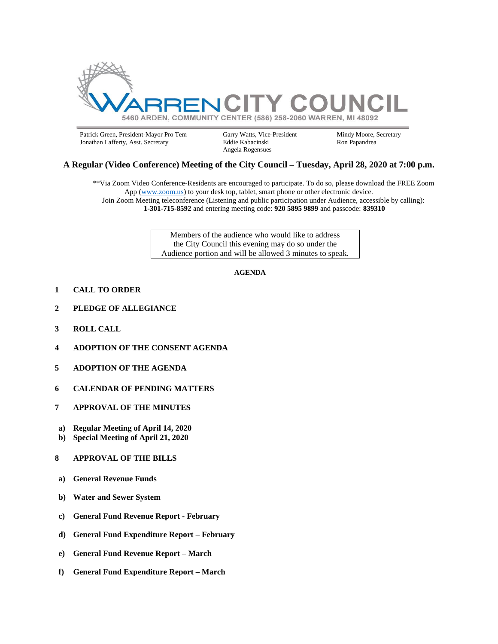

Patrick Green, President-Mayor Pro Tem Garry Watts, Vice-President Mindy Moore, Secretary Jonathan Lafferty, Asst. Secretary Eddie Kabacinski Ron Papandrea Jonathan Lafferty, Asst. Secretary

Angela Rogensues

## **A Regular (Video Conference) Meeting of the City Council – Tuesday, April 28, 2020 at 7:00 p.m.**

\*\*Via Zoom Video Conference-Residents are encouraged to participate. To do so, please download the FREE Zoom App [\(www.zoom.us\)](http://www.zoom.us/) to your desk top, tablet, smart phone or other electronic device. Join Zoom Meeting teleconference (Listening and public participation under Audience, accessible by calling): **1-301-715-8592** and entering meeting code: **920 5895 9899** and passcode: **839310**

> Members of the audience who would like to address the City Council this evening may do so under the Audience portion and will be allowed 3 minutes to speak.

#### **AGENDA**

- **1 CALL TO ORDER**
- **2 PLEDGE OF ALLEGIANCE**
- **3 ROLL CALL**
- **4 ADOPTION OF THE CONSENT AGENDA**
- **5 ADOPTION OF THE AGENDA**
- **6 CALENDAR OF PENDING MATTERS**
- **7 APPROVAL OF THE MINUTES**
- **a) Regular Meeting of April 14, 2020**
- **b) Special Meeting of April 21, 2020**
- **8 APPROVAL OF THE BILLS**
- **a) General Revenue Funds**
- **b) Water and Sewer System**
- **c) General Fund Revenue Report - February**
- **d) General Fund Expenditure Report – February**
- **e) General Fund Revenue Report – March**
- **f) General Fund Expenditure Report – March**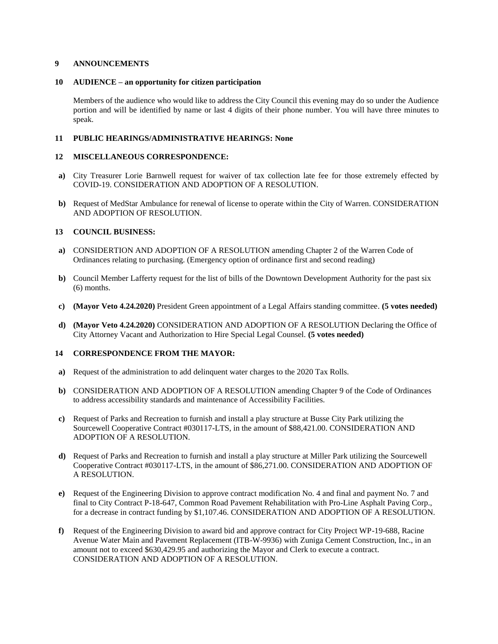### **9 ANNOUNCEMENTS**

### **10 AUDIENCE – an opportunity for citizen participation**

Members of the audience who would like to address the City Council this evening may do so under the Audience portion and will be identified by name or last 4 digits of their phone number. You will have three minutes to speak.

### **11 PUBLIC HEARINGS/ADMINISTRATIVE HEARINGS: None**

### **12 MISCELLANEOUS CORRESPONDENCE:**

- **a)** City Treasurer Lorie Barnwell request for waiver of tax collection late fee for those extremely effected by COVID-19. CONSIDERATION AND ADOPTION OF A RESOLUTION.
- **b)** Request of MedStar Ambulance for renewal of license to operate within the City of Warren. CONSIDERATION AND ADOPTION OF RESOLUTION.

## **13 COUNCIL BUSINESS:**

- **a)** CONSIDERTION AND ADOPTION OF A RESOLUTION amending Chapter 2 of the Warren Code of Ordinances relating to purchasing. (Emergency option of ordinance first and second reading)
- **b)** Council Member Lafferty request for the list of bills of the Downtown Development Authority for the past six (6) months.
- **c) (Mayor Veto 4.24.2020)** President Green appointment of a Legal Affairs standing committee. **(5 votes needed)**
- **d) (Mayor Veto 4.24.2020)** CONSIDERATION AND ADOPTION OF A RESOLUTION Declaring the Office of City Attorney Vacant and Authorization to Hire Special Legal Counsel. **(5 votes needed)**

## **14 CORRESPONDENCE FROM THE MAYOR:**

- **a)** Request of the administration to add delinquent water charges to the 2020 Tax Rolls.
- **b)** CONSIDERATION AND ADOPTION OF A RESOLUTION amending Chapter 9 of the Code of Ordinances to address accessibility standards and maintenance of Accessibility Facilities.
- **c)** Request of Parks and Recreation to furnish and install a play structure at Busse City Park utilizing the Sourcewell Cooperative Contract #030117-LTS, in the amount of \$88,421.00. CONSIDERATION AND ADOPTION OF A RESOLUTION.
- **d)** Request of Parks and Recreation to furnish and install a play structure at Miller Park utilizing the Sourcewell Cooperative Contract #030117-LTS, in the amount of \$86,271.00. CONSIDERATION AND ADOPTION OF A RESOLUTION.
- **e)** Request of the Engineering Division to approve contract modification No. 4 and final and payment No. 7 and final to City Contract P-18-647, Common Road Pavement Rehabilitation with Pro-Line Asphalt Paving Corp., for a decrease in contract funding by \$1,107.46. CONSIDERATION AND ADOPTION OF A RESOLUTION.
- **f)** Request of the Engineering Division to award bid and approve contract for City Project WP-19-688, Racine Avenue Water Main and Pavement Replacement (ITB-W-9936) with Zuniga Cement Construction, Inc., in an amount not to exceed \$630,429.95 and authorizing the Mayor and Clerk to execute a contract. CONSIDERATION AND ADOPTION OF A RESOLUTION.